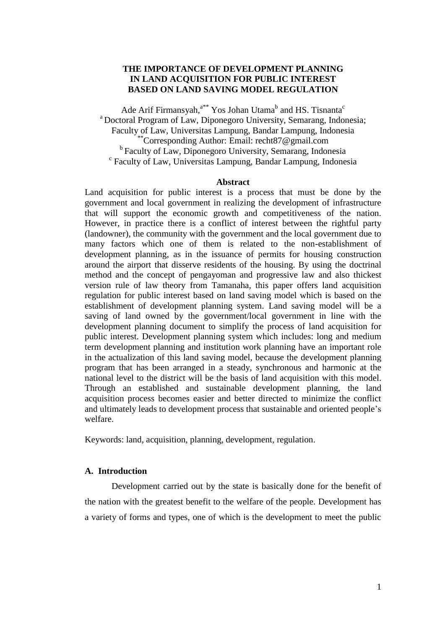# **THE IMPORTANCE OF DEVELOPMENT PLANNING IN LAND ACQUISITION FOR PUBLIC INTEREST BASED ON LAND SAVING MODEL REGULATION**

Ade Arif Firmansyah,<sup>a\*\*</sup> Yos Johan Utama<sup>b</sup> and HS. Tisnanta<sup>c</sup> <sup>a</sup> Doctoral Program of Law, Diponegoro University, Semarang, Indonesia; Faculty of Law, Universitas Lampung, Bandar Lampung, Indonesia \*\*Corresponding Author: Email: recht87@gmail.com <sup>b</sup> Faculty of Law, Diponegoro University, Semarang, Indonesia c Faculty of Law, Universitas Lampung, Bandar Lampung, Indonesia

#### **Abstract**

Land acquisition for public interest is a process that must be done by the government and local government in realizing the development of infrastructure that will support the economic growth and competitiveness of the nation. However, in practice there is a conflict of interest between the rightful party (landowner), the community with the government and the local government due to many factors which one of them is related to the non-establishment of development planning, as in the issuance of permits for housing construction around the airport that disserve residents of the housing. By using the doctrinal method and the concept of pengayoman and progressive law and also thickest version rule of law theory from Tamanaha, this paper offers land acquisition regulation for public interest based on land saving model which is based on the establishment of development planning system. Land saving model will be a saving of land owned by the government/local government in line with the development planning document to simplify the process of land acquisition for public interest. Development planning system which includes: long and medium term development planning and institution work planning have an important role in the actualization of this land saving model, because the development planning program that has been arranged in a steady, synchronous and harmonic at the national level to the district will be the basis of land acquisition with this model. Through an established and sustainable development planning, the land acquisition process becomes easier and better directed to minimize the conflict and ultimately leads to development process that sustainable and oriented people's welfare.

Keywords: land, acquisition, planning, development, regulation.

### **A. Introduction**

Development carried out by the state is basically done for the benefit of the nation with the greatest benefit to the welfare of the people. Development has a variety of forms and types, one of which is the development to meet the public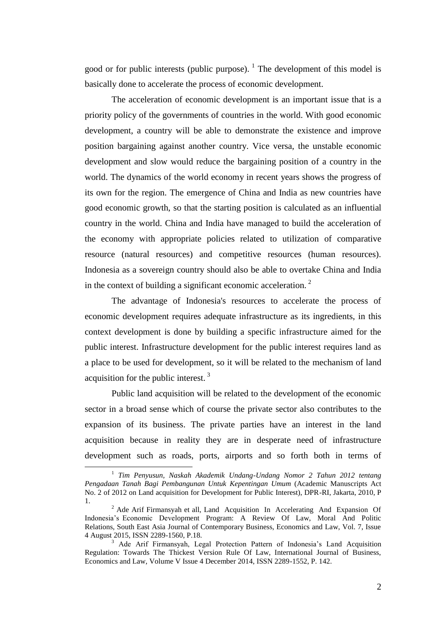good or for public interests (public purpose).  $\frac{1}{1}$  The development of this model is basically done to accelerate the process of economic development.

The acceleration of economic development is an important issue that is a priority policy of the governments of countries in the world. With good economic development, a country will be able to demonstrate the existence and improve position bargaining against another country. Vice versa, the unstable economic development and slow would reduce the bargaining position of a country in the world. The dynamics of the world economy in recent years shows the progress of its own for the region. The emergence of China and India as new countries have good economic growth, so that the starting position is calculated as an influential country in the world. China and India have managed to build the acceleration of the economy with appropriate policies related to utilization of comparative resource (natural resources) and competitive resources (human resources). Indonesia as a sovereign country should also be able to overtake China and India in the context of building a significant economic acceleration.<sup>2</sup>

The advantage of Indonesia's resources to accelerate the process of economic development requires adequate infrastructure as its ingredients, in this context development is done by building a specific infrastructure aimed for the public interest. Infrastructure development for the public interest requires land as a place to be used for development, so it will be related to the mechanism of land acquisition for the public interest. <sup>3</sup>

Public land acquisition will be related to the development of the economic sector in a broad sense which of course the private sector also contributes to the expansion of its business. The private parties have an interest in the land acquisition because in reality they are in desperate need of infrastructure development such as roads, ports, airports and so forth both in terms of

<sup>&</sup>lt;sup>1</sup> Tim Penyusun, Naskah Akademik Undang-Undang Nomor 2 Tahun 2012 tentang *Pengadaan Tanah Bagi Pembangunan Untuk Kepentingan Umum* (Academic Manuscripts Act No. 2 of 2012 on Land acquisition for Development for Public Interest), DPR-RI, Jakarta, 2010, P 1.

<sup>&</sup>lt;sup>2</sup> Ade Arif Firmansyah et all, Land Acquisition In Accelerating And Expansion Of Indonesia's Economic Development Program: A Review Of Law, Moral And Politic Relations, South East Asia Journal of Contemporary Business, Economics and Law, Vol. 7, Issue 4 August 2015, ISSN 2289-1560, P.18.

<sup>&</sup>lt;sup>3</sup> Ade Arif Firmansyah, Legal Protection Pattern of Indonesia's Land Acquisition Regulation: Towards The Thickest Version Rule Of Law, International Journal of Business, Economics and Law, Volume V Issue 4 December 2014, ISSN 2289-1552, P. 142.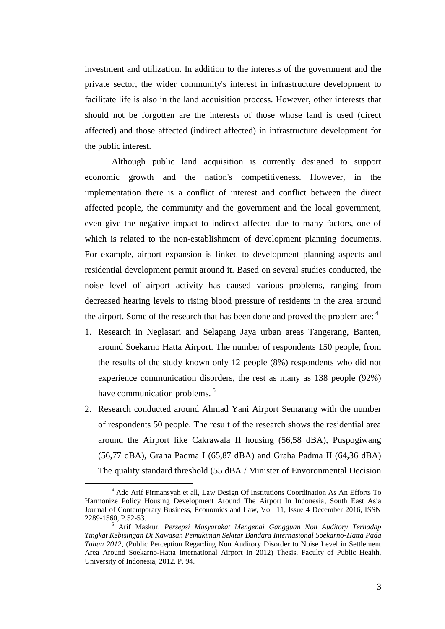investment and utilization. In addition to the interests of the government and the private sector, the wider community's interest in infrastructure development to facilitate life is also in the land acquisition process. However, other interests that should not be forgotten are the interests of those whose land is used (direct affected) and those affected (indirect affected) in infrastructure development for the public interest.

Although public land acquisition is currently designed to support economic growth and the nation's competitiveness. However, in the implementation there is a conflict of interest and conflict between the direct affected people, the community and the government and the local government, even give the negative impact to indirect affected due to many factors, one of which is related to the non-establishment of development planning documents. For example, airport expansion is linked to development planning aspects and residential development permit around it. Based on several studies conducted, the noise level of airport activity has caused various problems, ranging from decreased hearing levels to rising blood pressure of residents in the area around the airport. Some of the research that has been done and proved the problem are:  $4\overline{ }$ 

- 1. Research in Neglasari and Selapang Jaya urban areas Tangerang, Banten, around Soekarno Hatta Airport. The number of respondents 150 people, from the results of the study known only 12 people (8%) respondents who did not experience communication disorders, the rest as many as 138 people (92%) have communication problems.<sup>5</sup>
- 2. Research conducted around Ahmad Yani Airport Semarang with the number of respondents 50 people. The result of the research shows the residential area around the Airport like Cakrawala II housing (56,58 dBA), Puspogiwang (56,77 dBA), Graha Padma I (65,87 dBA) and Graha Padma II (64,36 dBA) The quality standard threshold (55 dBA / Minister of Envoronmental Decision

<sup>4</sup> Ade Arif Firmansyah et all, Law Design Of Institutions Coordination As An Efforts To Harmonize Policy Housing Development Around The Airport In Indonesia, South East Asia Journal of Contemporary Business, Economics and Law, Vol. 11, Issue 4 December 2016, ISSN 2289-1560, P.52-53.

<sup>5</sup> Arif Maskur, *Persepsi Masyarakat Mengenai Gangguan Non Auditory Terhadap Tingkat Kebisingan Di Kawasan Pemukiman Sekitar Bandara Internasional Soekarno-Hatta Pada Tahun 2012*, (Public Perception Regarding Non Auditory Disorder to Noise Level in Settlement Area Around Soekarno-Hatta International Airport In 2012) Thesis, Faculty of Public Health, University of Indonesia, 2012. P. 94.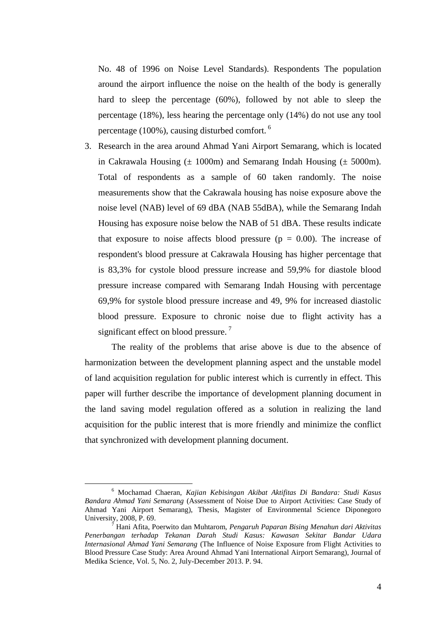No. 48 of 1996 on Noise Level Standards). Respondents The population around the airport influence the noise on the health of the body is generally hard to sleep the percentage (60%), followed by not able to sleep the percentage (18%), less hearing the percentage only (14%) do not use any tool percentage (100%), causing disturbed comfort. <sup>6</sup>

3. Research in the area around Ahmad Yani Airport Semarang, which is located in Cakrawala Housing  $(\pm 1000 \text{m})$  and Semarang Indah Housing  $(\pm 5000 \text{m})$ . Total of respondents as a sample of 60 taken randomly. The noise measurements show that the Cakrawala housing has noise exposure above the noise level (NAB) level of 69 dBA (NAB 55dBA), while the Semarang Indah Housing has exposure noise below the NAB of 51 dBA. These results indicate that exposure to noise affects blood pressure ( $p = 0.00$ ). The increase of respondent's blood pressure at Cakrawala Housing has higher percentage that is 83,3% for cystole blood pressure increase and 59,9% for diastole blood pressure increase compared with Semarang Indah Housing with percentage 69,9% for systole blood pressure increase and 49, 9% for increased diastolic blood pressure. Exposure to chronic noise due to flight activity has a significant effect on blood pressure.<sup>7</sup>

The reality of the problems that arise above is due to the absence of harmonization between the development planning aspect and the unstable model of land acquisition regulation for public interest which is currently in effect. This paper will further describe the importance of development planning document in the land saving model regulation offered as a solution in realizing the land acquisition for the public interest that is more friendly and minimize the conflict that synchronized with development planning document.

<sup>6</sup> Mochamad Chaeran, *Kajian Kebisingan Akibat Aktifitas Di Bandara: Studi Kasus Bandara Ahmad Yani Semarang* (Assessment of Noise Due to Airport Activities: Case Study of Ahmad Yani Airport Semarang), Thesis, Magister of Environmental Science Diponegoro University, 2008, P. 69.

<sup>7</sup> Hani Afita, Poerwito dan Muhtarom, *Pengaruh Paparan Bising Menahun dari Aktivitas Penerbangan terhadap Tekanan Darah Studi Kasus: Kawasan Sekitar Bandar Udara Internasional Ahmad Yani Semarang* (The Influence of Noise Exposure from Flight Activities to Blood Pressure Case Study: Area Around Ahmad Yani International Airport Semarang), Journal of Medika Science, Vol. 5, No. 2, July-December 2013. P. 94.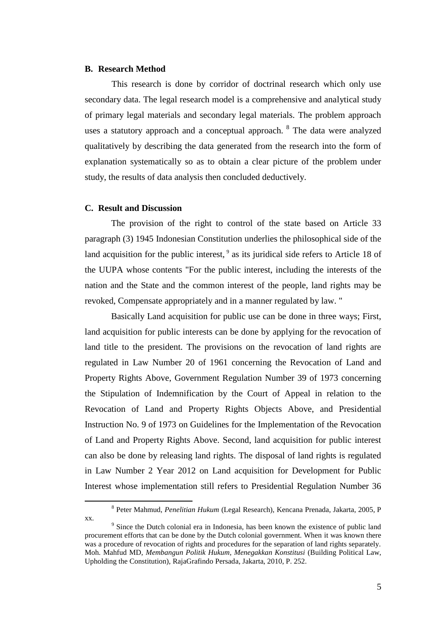#### **B. Research Method**

This research is done by corridor of doctrinal research which only use secondary data. The legal research model is a comprehensive and analytical study of primary legal materials and secondary legal materials. The problem approach uses a statutory approach and a conceptual approach. <sup>8</sup> The data were analyzed qualitatively by describing the data generated from the research into the form of explanation systematically so as to obtain a clear picture of the problem under study, the results of data analysis then concluded deductively.

### **C. Result and Discussion**

 $\overline{a}$ 

The provision of the right to control of the state based on Article 33 paragraph (3) 1945 Indonesian Constitution underlies the philosophical side of the land acquisition for the public interest, <sup>9</sup> as its juridical side refers to Article 18 of the UUPA whose contents "For the public interest, including the interests of the nation and the State and the common interest of the people, land rights may be revoked, Compensate appropriately and in a manner regulated by law. "

Basically Land acquisition for public use can be done in three ways; First, land acquisition for public interests can be done by applying for the revocation of land title to the president. The provisions on the revocation of land rights are regulated in Law Number 20 of 1961 concerning the Revocation of Land and Property Rights Above, Government Regulation Number 39 of 1973 concerning the Stipulation of Indemnification by the Court of Appeal in relation to the Revocation of Land and Property Rights Objects Above, and Presidential Instruction No. 9 of 1973 on Guidelines for the Implementation of the Revocation of Land and Property Rights Above. Second, land acquisition for public interest can also be done by releasing land rights. The disposal of land rights is regulated in Law Number 2 Year 2012 on Land acquisition for Development for Public Interest whose implementation still refers to Presidential Regulation Number 36

<sup>8</sup> Peter Mahmud, *Penelitian Hukum* (Legal Research), Kencana Prenada, Jakarta, 2005, P xx.

<sup>&</sup>lt;sup>9</sup> Since the Dutch colonial era in Indonesia, has been known the existence of public land procurement efforts that can be done by the Dutch colonial government. When it was known there was a procedure of revocation of rights and procedures for the separation of land rights separately. Moh. Mahfud MD, *Membangun Politik Hukum, Menegakkan Konstitusi* (Building Political Law, Upholding the Constitution), RajaGrafindo Persada, Jakarta, 2010, P. 252.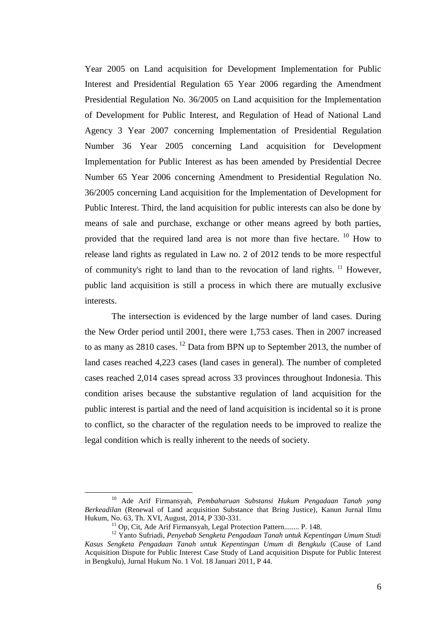Year 2005 on Land acquisition for Development Implementation for Public Interest and Presidential Regulation 65 Year 2006 regarding the Amendment Presidential Regulation No. 36/2005 on Land acquisition for the Implementation of Development for Public Interest, and Regulation of Head of National Land Agency 3 Year 2007 concerning Implementation of Presidential Regulation Number 36 Year 2005 concerning Land acquisition for Development Implementation for Public Interest as has been amended by Presidential Decree Number 65 Year 2006 concerning Amendment to Presidential Regulation No. 36/2005 concerning Land acquisition for the Implementation of Development for Public Interest. Third, the land acquisition for public interests can also be done by means of sale and purchase, exchange or other means agreed by both parties, provided that the required land area is not more than five hectare.  $10$  How to release land rights as regulated in Law no. 2 of 2012 tends to be more respectful of community's right to land than to the revocation of land rights. <sup>11</sup> However, public land acquisition is still a process in which there are mutually exclusive interests.

The intersection is evidenced by the large number of land cases. During the New Order period until 2001, there were 1,753 cases. Then in 2007 increased to as many as  $2810$  cases. <sup>12</sup> Data from BPN up to September 2013, the number of land cases reached 4,223 cases (land cases in general). The number of completed cases reached 2,014 cases spread across 33 provinces throughout Indonesia. This condition arises because the substantive regulation of land acquisition for the public interest is partial and the need of land acquisition is incidental so it is prone to conflict, so the character of the regulation needs to be improved to realize the legal condition which is really inherent to the needs of society.

<sup>10</sup> Ade Arif Firmansyah, *Pembaharuan Substansi Hukum Pengadaan Tanah yang Berkeadilan* (Renewal of Land acquisition Substance that Bring Justice)*,* Kanun Jurnal Ilmu Hukum, No. 63, Th. XVI, August, 2014, P 330-331.

<sup>&</sup>lt;sup>11</sup> Op, Cit, Ade Arif Firmansyah, Legal Protection Pattern........ P. 148.

<sup>12</sup> Yanto Sufriadi, *Penyebab Sengketa Pengadaan Tanah untuk Kepentingan Umum Studi Kasus Sengketa Pengadaan Tanah untuk Kepentingan Umum di Bengkulu* (Cause of Land Acquisition Dispute for Public Interest Case Study of Land acquisition Dispute for Public Interest in Bengkulu), Jurnal Hukum No. 1 Vol. 18 Januari 2011, P 44.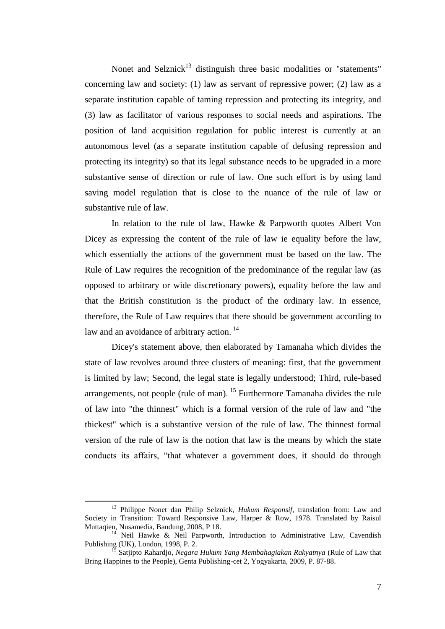Nonet and Selznick<sup>13</sup> distinguish three basic modalities or "statements" concerning law and society: (1) law as servant of repressive power; (2) law as a separate institution capable of taming repression and protecting its integrity, and (3) law as facilitator of various responses to social needs and aspirations. The position of land acquisition regulation for public interest is currently at an autonomous level (as a separate institution capable of defusing repression and protecting its integrity) so that its legal substance needs to be upgraded in a more substantive sense of direction or rule of law. One such effort is by using land saving model regulation that is close to the nuance of the rule of law or substantive rule of law.

In relation to the rule of law, Hawke & Parpworth quotes Albert Von Dicey as expressing the content of the rule of law ie equality before the law, which essentially the actions of the government must be based on the law. The Rule of Law requires the recognition of the predominance of the regular law (as opposed to arbitrary or wide discretionary powers), equality before the law and that the British constitution is the product of the ordinary law. In essence, therefore, the Rule of Law requires that there should be government according to law and an avoidance of arbitrary action.<sup>14</sup>

Dicey's statement above, then elaborated by Tamanaha which divides the state of law revolves around three clusters of meaning: first, that the government is limited by law; Second, the legal state is legally understood; Third, rule-based arrangements, not people (rule of man). <sup>15</sup> Furthermore Tamanaha divides the rule of law into "the thinnest" which is a formal version of the rule of law and "the thickest" which is a substantive version of the rule of law. The thinnest formal version of the rule of law is the notion that law is the means by which the state conducts its affairs, "that whatever a government does, it should do through

<sup>13</sup> Philippe Nonet dan Philip Selznick, *Hukum Responsif*, translation from: Law and Society in Transition: Toward Responsive Law, Harper & Row, 1978. Translated by Raisul Muttaqien, Nusamedia, Bandung, 2008, P 18.

<sup>&</sup>lt;sup>14</sup> Neil Hawke & Neil Parpworth, Introduction to Administrative Law, Cavendish Publishing (UK), London, 1998, P. 2.

<sup>15</sup> Satjipto Rahardjo, *Negara Hukum Yang Membahagiakan Rakyatnya* (Rule of Law that Bring Happines to the People), Genta Publishing-cet 2, Yogyakarta, 2009, P. 87-88.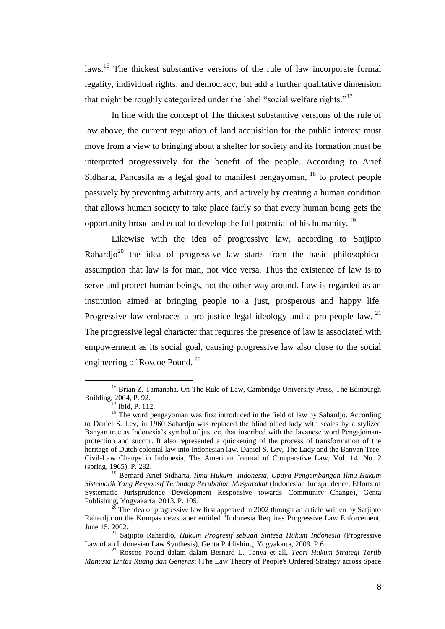laws.<sup>16</sup> The thickest substantive versions of the rule of law incorporate formal legality, individual rights, and democracy, but add a further qualitative dimension that might be roughly categorized under the label "social welfare rights."<sup>17</sup>

In line with the concept of The thickest substantive versions of the rule of law above, the current regulation of land acquisition for the public interest must move from a view to bringing about a shelter for society and its formation must be interpreted progressively for the benefit of the people. According to Arief Sidharta, Pancasila as a legal goal to manifest pengayoman,  $^{18}$  to protect people passively by preventing arbitrary acts, and actively by creating a human condition that allows human society to take place fairly so that every human being gets the opportunity broad and equal to develop the full potential of his humanity. <sup>19</sup>

Likewise with the idea of progressive law, according to Satjipto Rahardio<sup>20</sup> the idea of progressive law starts from the basic philosophical assumption that law is for man, not vice versa. Thus the existence of law is to serve and protect human beings, not the other way around. Law is regarded as an institution aimed at bringing people to a just, prosperous and happy life. Progressive law embraces a pro-justice legal ideology and a pro-people law. <sup>21</sup> The progressive legal character that requires the presence of law is associated with empowerment as its social goal, causing progressive law also close to the social engineering of Roscoe Pound. *<sup>22</sup>*

<sup>&</sup>lt;sup>16</sup> Brian Z. Tamanaha, On The Rule of Law, Cambridge University Press, The Edinburgh Building, 2004, P. 92.

 $17$  Ibid, P. 112.

<sup>&</sup>lt;sup>18</sup> The word pengayoman was first introduced in the field of law by Sahardjo. According to Daniel S. Lev, in 1960 Sahardjo was replaced the blindfolded lady with scales by a stylized Banyan tree as Indonesia's symbol of justice, that inscribed with the Javanese word Pengajomanprotection and succor. It also represented a quickening of the process of transformation of the heritage of Dutch colonial law into Indonesian law. Daniel S. Lev, The Lady and the Banyan Tree: Civil-Law Change in Indonesia, The American Journal of Comparative Law, Vol. 14. No. 2 (spring, 1965). P. 282.

<sup>19</sup> Bernard Arief Sidharta, *Ilmu Hukum Indonesia, Upaya Pengembangan Ilmu Hukum Sistematik Yang Responsif Terhadap Perubahan Masyarakat* (Indonesian Jurisprudence, Efforts of Systematic Jurisprudence Development Responsive towards Community Change), Genta Publishing, Yogyakarta, 2013. P. 105.

 $20$  The idea of progressive law first appeared in 2002 through an article written by Satjipto Rahardjo on the Kompas newspaper entitled "Indonesia Requires Progressive Law Enforcement, June 15, 2002.

<sup>21</sup> Satjipto Rahardjo, *Hukum Progresif sebuah Sintesa Hukum Indonesia* (Progressive Law of an Indonesian Law Synthesis), Genta Publishing, Yogyakarta, 2009. P 6.

<sup>22</sup> Roscoe Pound dalam dalam Bernard L. Tanya et all, *Teori Hukum Strategi Tertib Manusia Lintas Ruang dan Generasi* (The Law Theory of People's Ordered Strategy across Space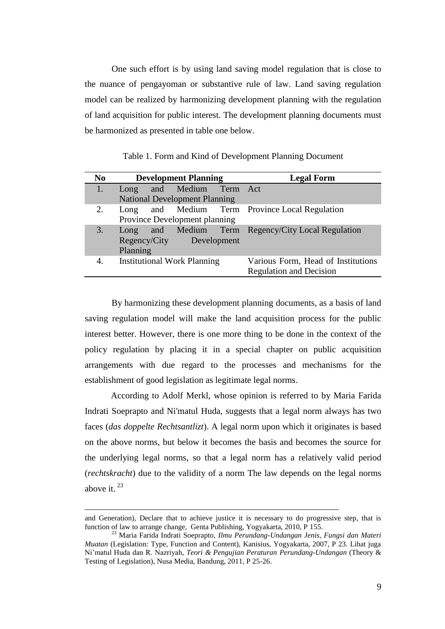One such effort is by using land saving model regulation that is close to the nuance of pengayoman or substantive rule of law. Land saving regulation model can be realized by harmonizing development planning with the regulation of land acquisition for public interest. The development planning documents must be harmonized as presented in table one below.

| N <sub>0</sub> | <b>Development Planning</b>          |  |                     |  | <b>Legal Form</b>                                  |
|----------------|--------------------------------------|--|---------------------|--|----------------------------------------------------|
|                | Long                                 |  | and Medium Term Act |  |                                                    |
|                | <b>National Development Planning</b> |  |                     |  |                                                    |
| 2.             | Long                                 |  |                     |  | and Medium Term Province Local Regulation          |
|                | Province Development planning        |  |                     |  |                                                    |
| 3.             |                                      |  |                     |  | Long and Medium Term Regency/City Local Regulation |
|                | Regency/City<br>Development          |  |                     |  |                                                    |
|                | Planning                             |  |                     |  |                                                    |
| 4.             | <b>Institutional Work Planning</b>   |  |                     |  | Various Form, Head of Institutions                 |
|                |                                      |  |                     |  | <b>Regulation and Decision</b>                     |

Table 1. Form and Kind of Development Planning Document

By harmonizing these development planning documents, as a basis of land saving regulation model will make the land acquisition process for the public interest better. However, there is one more thing to be done in the context of the policy regulation by placing it in a special chapter on public acquisition arrangements with due regard to the processes and mechanisms for the establishment of good legislation as legitimate legal norms.

According to Adolf Merkl, whose opinion is referred to by Maria Farida Indrati Soeprapto and Ni'matul Huda, suggests that a legal norm always has two faces (*das doppelte Rechtsantlizt*). A legal norm upon which it originates is based on the above norms, but below it becomes the basis and becomes the source for the underlying legal norms, so that a legal norm has a relatively valid period (*rechtskracht*) due to the validity of a norm The law depends on the legal norms above it.  $23$ 

and Generation), Declare that to achieve justice it is necessary to do progressive step, that is function of law to arrange change, Genta Publishing, Yogyakarta, 2010, P 155.

<sup>23</sup> Maria Farida Indrati Soeprapto, *Ilmu Perundang-Undangan Jenis, Fungsi dan Materi Muatan* (Legislation: Type, Function and Content), Kanisius, Yogyakarta, 2007, P 23. Lihat juga Ni'matul Huda dan R. Nazriyah, *Teori & Pengujian Peraturan Perundang-Undangan* (Theory & Testing of Legislation), Nusa Media, Bandung, 2011, P 25-26.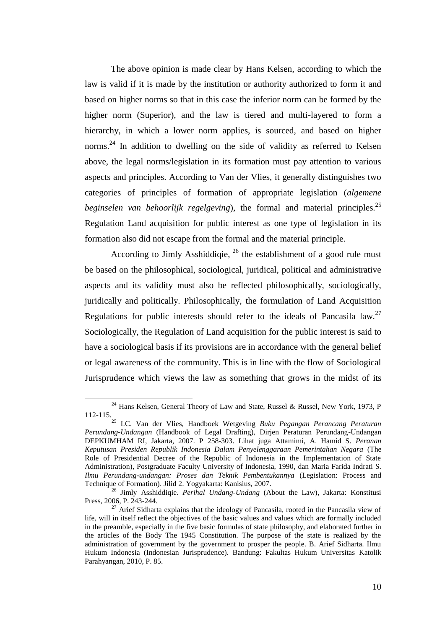The above opinion is made clear by Hans Kelsen, according to which the law is valid if it is made by the institution or authority authorized to form it and based on higher norms so that in this case the inferior norm can be formed by the higher norm (Superior), and the law is tiered and multi-layered to form a hierarchy, in which a lower norm applies, is sourced, and based on higher norms.<sup>24</sup> In addition to dwelling on the side of validity as referred to Kelsen above, the legal norms/legislation in its formation must pay attention to various aspects and principles. According to Van der Vlies, it generally distinguishes two categories of principles of formation of appropriate legislation (*algemene beginselen van behoorlijk regelgeving*), the formal and material principles.<sup>25</sup> Regulation Land acquisition for public interest as one type of legislation in its formation also did not escape from the formal and the material principle.

According to Jimly Asshiddiqie,  $^{26}$  the establishment of a good rule must be based on the philosophical, sociological, juridical, political and administrative aspects and its validity must also be reflected philosophically, sociologically, juridically and politically. Philosophically, the formulation of Land Acquisition Regulations for public interests should refer to the ideals of Pancasila law.<sup>27</sup> Sociologically, the Regulation of Land acquisition for the public interest is said to have a sociological basis if its provisions are in accordance with the general belief or legal awareness of the community. This is in line with the flow of Sociological Jurisprudence which views the law as something that grows in the midst of its

<sup>&</sup>lt;sup>24</sup> Hans Kelsen, General Theory of Law and State, Russel & Russel, New York, 1973, P 112-115.

<sup>25</sup> I.C. Van der Vlies, Handboek Wetgeving *Buku Pegangan Perancang Peraturan Perundang-Undangan* (Handbook of Legal Drafting), Dirjen Peraturan Perundang-Undangan DEPKUMHAM RI, Jakarta, 2007. P 258-303. Lihat juga Attamimi, A. Hamid S. *Peranan Keputusan Presiden Republik Indonesia Dalam Penyelenggaraan Pemerintahan Negara* (The Role of Presidential Decree of the Republic of Indonesia in the Implementation of State Administration), Postgraduate Faculty University of Indonesia, 1990, dan Maria Farida Indrati S. *Ilmu Perundang-undangan: Proses dan Teknik Pembentukannya* (Legislation: Process and Technique of Formation). Jilid 2. Yogyakarta: Kanisius, 2007.

<sup>26</sup> Jimly Asshiddiqie. *Perihal Undang-Undang* (About the Law), Jakarta: Konstitusi Press, 2006, P. 243-244.

 $27$  Arief Sidharta explains that the ideology of Pancasila, rooted in the Pancasila view of life, will in itself reflect the objectives of the basic values and values which are formally included in the preamble, especially in the five basic formulas of state philosophy, and elaborated further in the articles of the Body The 1945 Constitution. The purpose of the state is realized by the administration of government by the government to prosper the people. B. Arief Sidharta. Ilmu Hukum Indonesia (Indonesian Jurisprudence). Bandung: Fakultas Hukum Universitas Katolik Parahyangan, 2010, P. 85.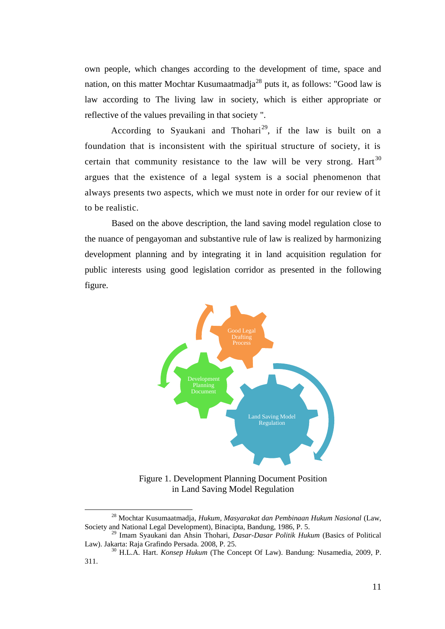own people, which changes according to the development of time, space and nation, on this matter Mochtar Kusumaatmadja<sup>28</sup> puts it, as follows: "Good law is law according to The living law in society, which is either appropriate or reflective of the values prevailing in that society ".

According to Syaukani and Thohari<sup>29</sup>, if the law is built on a foundation that is inconsistent with the spiritual structure of society, it is certain that community resistance to the law will be very strong. Hart<sup>30</sup> argues that the existence of a legal system is a social phenomenon that always presents two aspects, which we must note in order for our review of it to be realistic.

Based on the above description, the land saving model regulation close to the nuance of pengayoman and substantive rule of law is realized by harmonizing development planning and by integrating it in land acquisition regulation for public interests using good legislation corridor as presented in the following figure.



Figure 1. Development Planning Document Position in Land Saving Model Regulation

<sup>28</sup> Mochtar Kusumaatmadja, *Hukum, Masyarakat dan Pembinaan Hukum Nasional* (Law, Society and National Legal Development), Binacipta, Bandung, 1986, P. 5.

<sup>29</sup> Imam Syaukani dan Ahsin Thohari, *Dasar-Dasar Politik Hukum* (Basics of Political Law). Jakarta: Raja Grafindo Persada. 2008, P. 25.

<sup>30</sup> H.L.A. Hart. *Konsep Hukum* (The Concept Of Law). Bandung: Nusamedia, 2009, P. 311.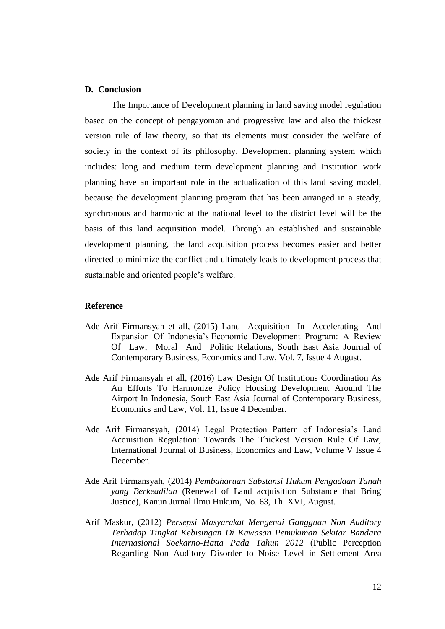# **D. Conclusion**

The Importance of Development planning in land saving model regulation based on the concept of pengayoman and progressive law and also the thickest version rule of law theory, so that its elements must consider the welfare of society in the context of its philosophy. Development planning system which includes: long and medium term development planning and Institution work planning have an important role in the actualization of this land saving model, because the development planning program that has been arranged in a steady, synchronous and harmonic at the national level to the district level will be the basis of this land acquisition model. Through an established and sustainable development planning, the land acquisition process becomes easier and better directed to minimize the conflict and ultimately leads to development process that sustainable and oriented people's welfare.

#### **Reference**

- Ade Arif Firmansyah et all, (2015) Land Acquisition In Accelerating And Expansion Of Indonesia's Economic Development Program: A Review Of Law, Moral And Politic Relations, South East Asia Journal of Contemporary Business, Economics and Law, Vol. 7, Issue 4 August.
- Ade Arif Firmansyah et all, (2016) Law Design Of Institutions Coordination As An Efforts To Harmonize Policy Housing Development Around The Airport In Indonesia, South East Asia Journal of Contemporary Business, Economics and Law, Vol. 11, Issue 4 December.
- Ade Arif Firmansyah, (2014) Legal Protection Pattern of Indonesia's Land Acquisition Regulation: Towards The Thickest Version Rule Of Law, International Journal of Business, Economics and Law, Volume V Issue 4 December.
- Ade Arif Firmansyah, (2014) *Pembaharuan Substansi Hukum Pengadaan Tanah yang Berkeadilan* (Renewal of Land acquisition Substance that Bring Justice)*,* Kanun Jurnal Ilmu Hukum, No. 63, Th. XVI, August.
- Arif Maskur, (2012) *Persepsi Masyarakat Mengenai Gangguan Non Auditory Terhadap Tingkat Kebisingan Di Kawasan Pemukiman Sekitar Bandara Internasional Soekarno-Hatta Pada Tahun 2012* (Public Perception Regarding Non Auditory Disorder to Noise Level in Settlement Area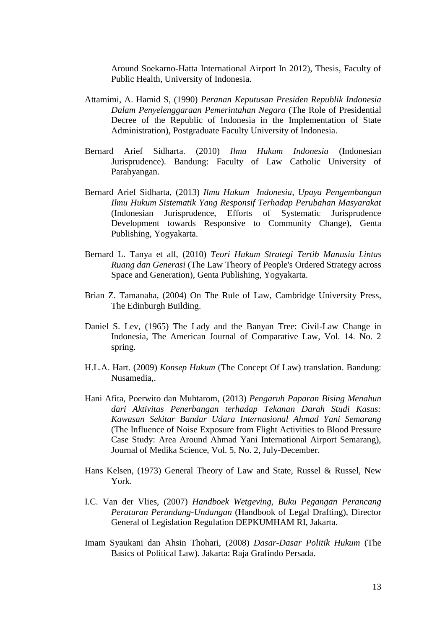Around Soekarno-Hatta International Airport In 2012), Thesis, Faculty of Public Health, University of Indonesia.

- Attamimi, A. Hamid S, (1990) *Peranan Keputusan Presiden Republik Indonesia Dalam Penyelenggaraan Pemerintahan Negara* (The Role of Presidential Decree of the Republic of Indonesia in the Implementation of State Administration), Postgraduate Faculty University of Indonesia.
- Bernard Arief Sidharta. (2010) *Ilmu Hukum Indonesia* (Indonesian Jurisprudence). Bandung: Faculty of Law Catholic University of Parahyangan.
- Bernard Arief Sidharta, (2013) *Ilmu Hukum Indonesia, Upaya Pengembangan Ilmu Hukum Sistematik Yang Responsif Terhadap Perubahan Masyarakat* (Indonesian Jurisprudence, Efforts of Systematic Jurisprudence Development towards Responsive to Community Change), Genta Publishing, Yogyakarta.
- Bernard L. Tanya et all, (2010) *Teori Hukum Strategi Tertib Manusia Lintas Ruang dan Generasi* (The Law Theory of People's Ordered Strategy across Space and Generation), Genta Publishing, Yogyakarta.
- Brian Z. Tamanaha, (2004) On The Rule of Law, Cambridge University Press, The Edinburgh Building.
- Daniel S. Lev, (1965) The Lady and the Banyan Tree: Civil-Law Change in Indonesia, The American Journal of Comparative Law, Vol. 14. No. 2 spring.
- H.L.A. Hart. (2009) *Konsep Hukum* (The Concept Of Law) translation. Bandung: Nusamedia,.
- Hani Afita, Poerwito dan Muhtarom, (2013) *Pengaruh Paparan Bising Menahun dari Aktivitas Penerbangan terhadap Tekanan Darah Studi Kasus: Kawasan Sekitar Bandar Udara Internasional Ahmad Yani Semarang* (The Influence of Noise Exposure from Flight Activities to Blood Pressure Case Study: Area Around Ahmad Yani International Airport Semarang), Journal of Medika Science, Vol. 5, No. 2, July-December.
- Hans Kelsen, (1973) General Theory of Law and State, Russel & Russel, New York.
- I.C. Van der Vlies, (2007) *Handboek Wetgeving, Buku Pegangan Perancang Peraturan Perundang-Undangan* (Handbook of Legal Drafting), Director General of Legislation Regulation DEPKUMHAM RI, Jakarta.
- Imam Syaukani dan Ahsin Thohari, (2008) *Dasar-Dasar Politik Hukum* (The Basics of Political Law). Jakarta: Raja Grafindo Persada.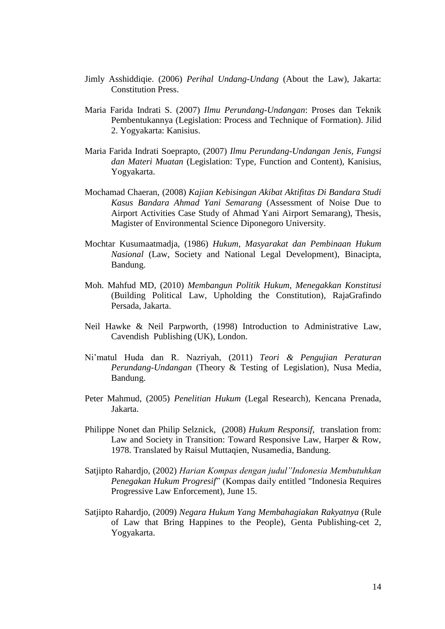- Jimly Asshiddiqie. (2006) *Perihal Undang-Undang* (About the Law), Jakarta: Constitution Press.
- Maria Farida Indrati S. (2007) *Ilmu Perundang-Undangan*: Proses dan Teknik Pembentukannya (Legislation: Process and Technique of Formation). Jilid 2. Yogyakarta: Kanisius.
- Maria Farida Indrati Soeprapto, (2007) *Ilmu Perundang-Undangan Jenis, Fungsi dan Materi Muatan* (Legislation: Type, Function and Content), Kanisius, Yogyakarta.
- Mochamad Chaeran, (2008) *Kajian Kebisingan Akibat Aktifitas Di Bandara Studi Kasus Bandara Ahmad Yani Semarang* (Assessment of Noise Due to Airport Activities Case Study of Ahmad Yani Airport Semarang), Thesis, Magister of Environmental Science Diponegoro University.
- Mochtar Kusumaatmadja, (1986) *Hukum, Masyarakat dan Pembinaan Hukum Nasional* (Law, Society and National Legal Development), Binacipta, Bandung.
- Moh. Mahfud MD, (2010) *Membangun Politik Hukum, Menegakkan Konstitusi* (Building Political Law, Upholding the Constitution), RajaGrafindo Persada, Jakarta.
- Neil Hawke & Neil Parpworth, (1998) Introduction to Administrative Law, Cavendish Publishing (UK), London.
- Ni'matul Huda dan R. Nazriyah, (2011) *Teori & Pengujian Peraturan Perundang-Undangan* (Theory & Testing of Legislation), Nusa Media, Bandung.
- Peter Mahmud, (2005) *Penelitian Hukum* (Legal Research), Kencana Prenada, Jakarta.
- Philippe Nonet dan Philip Selznick, (2008) *Hukum Responsif*, translation from: Law and Society in Transition: Toward Responsive Law, Harper & Row, 1978. Translated by Raisul Muttaqien, Nusamedia, Bandung.
- Satjipto Rahardjo, (2002) *Harian Kompas dengan judul"Indonesia Membutuhkan Penegakan Hukum Progresif*" (Kompas daily entitled "Indonesia Requires Progressive Law Enforcement), June 15.
- Satjipto Rahardjo, (2009) *Negara Hukum Yang Membahagiakan Rakyatnya* (Rule of Law that Bring Happines to the People), Genta Publishing-cet 2, Yogyakarta.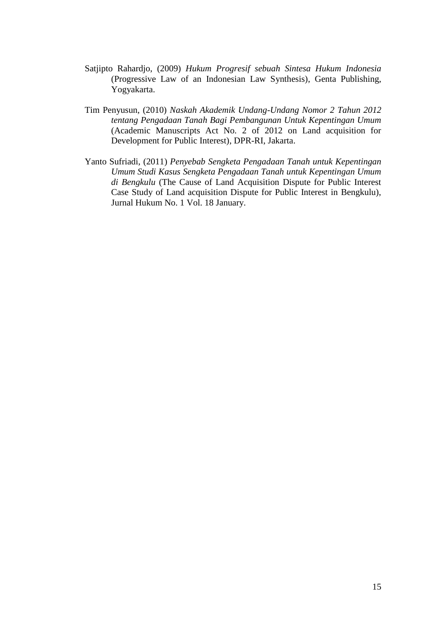- Satjipto Rahardjo, (2009) *Hukum Progresif sebuah Sintesa Hukum Indonesia* (Progressive Law of an Indonesian Law Synthesis), Genta Publishing, Yogyakarta.
- Tim Penyusun, (2010) *Naskah Akademik Undang-Undang Nomor 2 Tahun 2012 tentang Pengadaan Tanah Bagi Pembangunan Untuk Kepentingan Umum* (Academic Manuscripts Act No. 2 of 2012 on Land acquisition for Development for Public Interest), DPR-RI, Jakarta.
- Yanto Sufriadi, (2011) *Penyebab Sengketa Pengadaan Tanah untuk Kepentingan Umum Studi Kasus Sengketa Pengadaan Tanah untuk Kepentingan Umum di Bengkulu* (The Cause of Land Acquisition Dispute for Public Interest Case Study of Land acquisition Dispute for Public Interest in Bengkulu), Jurnal Hukum No. 1 Vol. 18 January.